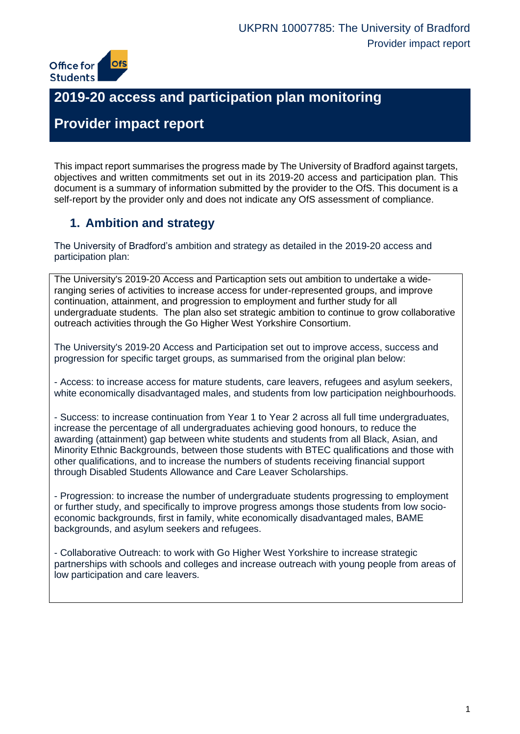

# **2019-20 access and participation plan monitoring**

# **Provider impact report**

This impact report summarises the progress made by The University of Bradford against targets, objectives and written commitments set out in its 2019-20 access and participation plan. This document is a summary of information submitted by the provider to the OfS. This document is a self-report by the provider only and does not indicate any OfS assessment of compliance.

## **1. Ambition and strategy**

The University of Bradford's ambition and strategy as detailed in the 2019-20 access and participation plan:

The University's 2019-20 Access and Particaption sets out ambition to undertake a wideranging series of activities to increase access for under-represented groups, and improve continuation, attainment, and progression to employment and further study for all undergraduate students. The plan also set strategic ambition to continue to grow collaborative outreach activities through the Go Higher West Yorkshire Consortium.

The University's 2019-20 Access and Participation set out to improve access, success and progression for specific target groups, as summarised from the original plan below:

- Access: to increase access for mature students, care leavers, refugees and asylum seekers, white economically disadvantaged males, and students from low participation neighbourhoods.

- Success: to increase continuation from Year 1 to Year 2 across all full time undergraduates, increase the percentage of all undergraduates achieving good honours, to reduce the awarding (attainment) gap between white students and students from all Black, Asian, and Minority Ethnic Backgrounds, between those students with BTEC qualifications and those with other qualifications, and to increase the numbers of students receiving financial support through Disabled Students Allowance and Care Leaver Scholarships.

- Progression: to increase the number of undergraduate students progressing to employment or further study, and specifically to improve progress amongs those students from low socioeconomic backgrounds, first in family, white economically disadvantaged males, BAME backgrounds, and asylum seekers and refugees.

- Collaborative Outreach: to work with Go Higher West Yorkshire to increase strategic partnerships with schools and colleges and increase outreach with young people from areas of low participation and care leavers.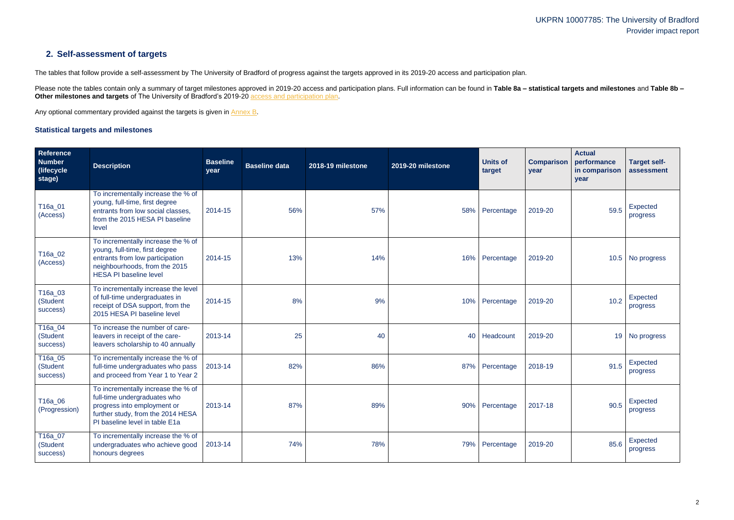## **2. Self-assessment of targets**

The tables that follow provide a self-assessment by The University of Bradford of progress against the targets approved in its 2019-20 access and participation plan.

Please note the tables contain only a summary of target milestones approved in 2019-20 access and participation plans. Full information can be found in Table 8a - statistical targets and milestones and Table 8b -**Other milestones and targets** of The University of Bradford's 2019-20 [access and participation plan.](https://www.officeforstudents.org.uk/advice-and-guidance/the-register/search-for-access-and-participation-plans/#/AccessPlans/)

Any optional commentary provided against the targets is given in [Annex B.](#page-11-0)

#### <span id="page-1-0"></span>**Statistical targets and milestones**

| <b>Reference</b><br><b>Number</b><br>(lifecycle)<br>stage) | <b>Description</b>                                                                                                                                                        | <b>Baseline</b><br>year | <b>Baseline data</b> | 2018-19 milestone | 2019-20 milestone | <b>Units of</b><br>target | <b>Comparison</b><br>year | <b>Actual</b><br>performance<br>in comparison<br>year | <b>Target self-</b><br>assessment |
|------------------------------------------------------------|---------------------------------------------------------------------------------------------------------------------------------------------------------------------------|-------------------------|----------------------|-------------------|-------------------|---------------------------|---------------------------|-------------------------------------------------------|-----------------------------------|
| T16a_01<br>(Access)                                        | To incrementally increase the % of<br>young, full-time, first degree<br>entrants from low social classes,<br>from the 2015 HESA PI baseline<br>level                      | 2014-15                 | 56%                  | 57%               | 58%               | Percentage                | 2019-20                   | 59.5                                                  | Expected<br>progress              |
| T16a_02<br>(Access)                                        | To incrementally increase the % of<br>young, full-time, first degree<br>entrants from low participation<br>neighbourhoods, from the 2015<br><b>HESA PI baseline level</b> | 2014-15                 | 13%                  | 14%               | 16%               | Percentage                | 2019-20                   |                                                       | 10.5 No progress                  |
| T16a_03<br>(Student<br>success)                            | To incrementally increase the level<br>of full-time undergraduates in<br>receipt of DSA support, from the<br>2015 HESA PI baseline level                                  | 2014-15                 | 8%                   | 9%                | 10%               | Percentage                | 2019-20                   | 10.2                                                  | Expected<br>progress              |
| T16a_04<br>(Student<br>success)                            | To increase the number of care-<br>leavers in receipt of the care-<br>leavers scholarship to 40 annually                                                                  | 2013-14                 | 25                   | 40                | 40                | Headcount                 | 2019-20                   | 19                                                    | No progress                       |
| T16a_05<br>(Student<br>success)                            | To incrementally increase the % of<br>full-time undergraduates who pass<br>and proceed from Year 1 to Year 2                                                              | 2013-14                 | 82%                  | 86%               | 87%               | Percentage                | 2018-19                   | 91.5                                                  | Expected<br>progress              |
| T16a 06<br>(Progression)                                   | To incrementally increase the % of<br>full-time undergraduates who<br>progress into employment or<br>further study, from the 2014 HESA<br>PI baseline level in table E1a  | 2013-14                 | 87%                  | 89%               | 90%               | Percentage                | 2017-18                   | 90.5                                                  | Expected<br>progress              |
| T16a_07<br>(Student<br>success)                            | To incrementally increase the % of<br>undergraduates who achieve good<br>honours degrees                                                                                  | 2013-14                 | 74%                  | 78%               | 79%               | Percentage                | 2019-20                   | 85.6                                                  | Expected<br>progress              |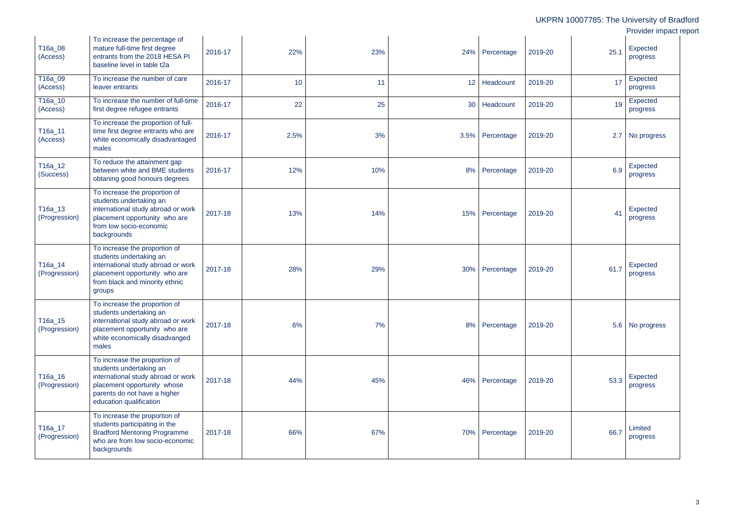|                          |                                                                                                                                                                                          |         |      |     |     |                 |         |      | UKPRN 10007785: The University of Bradford<br>Provider impact report |
|--------------------------|------------------------------------------------------------------------------------------------------------------------------------------------------------------------------------------|---------|------|-----|-----|-----------------|---------|------|----------------------------------------------------------------------|
| T16a_08<br>(Access)      | To increase the percentage of<br>mature full-time first degree<br>entrants from the 2018 HESA PI<br>baseline level in table t2a                                                          | 2016-17 | 22%  | 23% |     | 24% Percentage  | 2019-20 | 25.1 | Expected<br>progress                                                 |
| T16a_09<br>(Access)      | To increase the number of care<br>leaver entrants                                                                                                                                        | 2016-17 | 10   | 11  |     | 12 Headcount    | 2019-20 | 17   | Expected<br>progress                                                 |
| T16a_10<br>(Access)      | To increase the number of full-time<br>first degree refugee entrants                                                                                                                     | 2016-17 | 22   | 25  |     | 30 Headcount    | 2019-20 | 19   | Expected<br>progress                                                 |
| T16a_11<br>(Access)      | To increase the proportion of full-<br>time first degree entrants who are<br>white economically disadvantaged<br>males                                                                   | 2016-17 | 2.5% | 3%  |     | 3.5% Percentage | 2019-20 | 2.7  | No progress                                                          |
| T16a_12<br>(Success)     | To reduce the attainment gap<br>between white and BME students<br>obtaning good honours degrees                                                                                          | 2016-17 | 12%  | 10% | 8%  | Percentage      | 2019-20 | 6.9  | Expected<br>progress                                                 |
| T16a_13<br>(Progression) | To increase the proportion of<br>students undertaking an<br>international study abroad or work<br>placement opportunity who are<br>from low socio-economic<br>backgrounds                | 2017-18 | 13%  | 14% |     | 15% Percentage  | 2019-20 | 41   | <b>Expected</b><br>progress                                          |
| T16a_14<br>(Progression) | To increase the proportion of<br>students undertaking an<br>international study abroad or work<br>placement opportunity who are<br>from black and minority ethnic<br>groups              | 2017-18 | 28%  | 29% | 30% | Percentage      | 2019-20 | 61.7 | <b>Expected</b><br>progress                                          |
| T16a_15<br>(Progression) | To increase the proportion of<br>students undertaking an<br>international study abroad or work<br>placement opportunity who are<br>white economically disadvanged<br>males               | 2017-18 | 6%   | 7%  |     | 8% Percentage   | 2019-20 |      | 5.6 No progress                                                      |
| T16a_16<br>(Progression) | To increase the proportion of<br>students undertaking an<br>international study abroad or work<br>placement opportunity whose<br>parents do not have a higher<br>education qualification | 2017-18 | 44%  | 45% |     | 46% Percentage  | 2019-20 | 53.3 | Expected<br>progress                                                 |
| T16a_17<br>(Progression) | To increase the proportion of<br>students participating in the<br><b>Bradford Mentoring Programme</b><br>who are from low socio-economic<br>backgrounds                                  | 2017-18 | 66%  | 67% |     | 70% Percentage  | 2019-20 | 66.7 | Limited<br>progress                                                  |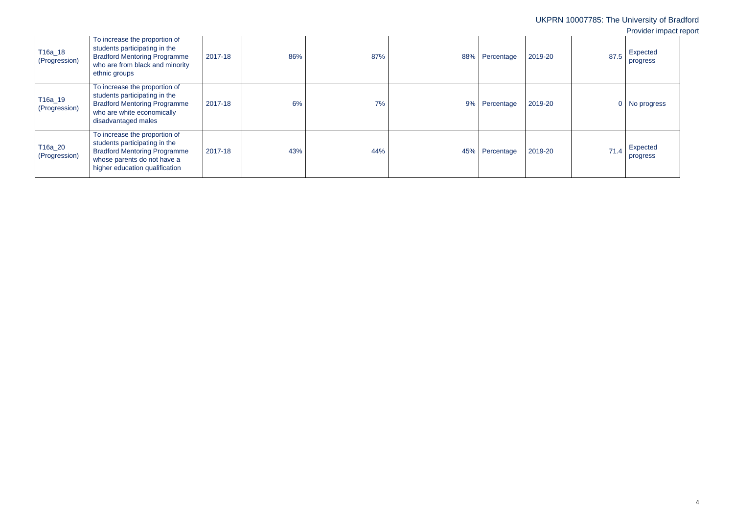|                          |                                                                                                                                                                        |         |     |     |     |            |         |                | UKPRN 10007785: The University of Bradford<br>Provider impact report |
|--------------------------|------------------------------------------------------------------------------------------------------------------------------------------------------------------------|---------|-----|-----|-----|------------|---------|----------------|----------------------------------------------------------------------|
| T16a_18<br>(Progression) | To increase the proportion of<br>students participating in the<br><b>Bradford Mentoring Programme</b><br>who are from black and minority<br>ethnic groups              | 2017-18 | 86% | 87% | 88% | Percentage | 2019-20 | 87.5           | Expected<br>progress                                                 |
| T16a_19<br>(Progression) | To increase the proportion of<br>students participating in the<br><b>Bradford Mentoring Programme</b><br>who are white economically<br>disadvantaged males             | 2017-18 | 6%  | 7%  | 9%  | Percentage | 2019-20 | $\overline{0}$ | No progress                                                          |
| T16a_20<br>(Progression) | To increase the proportion of<br>students participating in the<br><b>Bradford Mentoring Programme</b><br>whose parents do not have a<br>higher education qualification | 2017-18 | 43% | 44% | 45% | Percentage | 2019-20 | 71.4           | Expected<br>progress                                                 |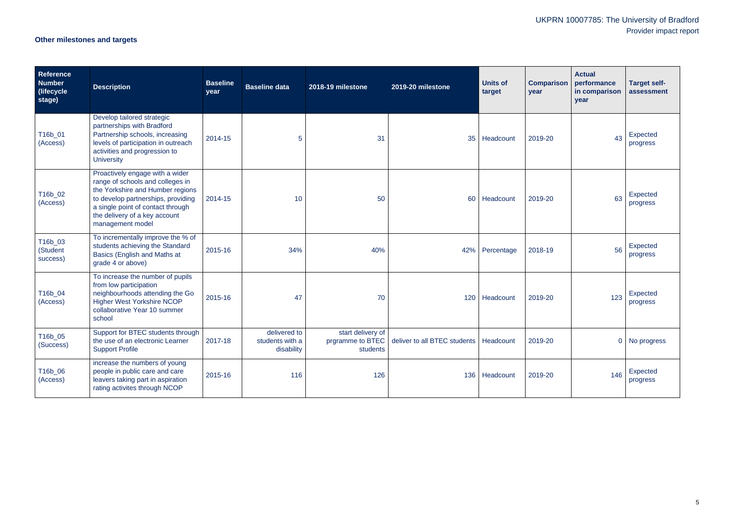# **Other milestones and targets**

| Reference<br><b>Number</b><br>(lifecycle)<br>stage) | <b>Description</b>                                                                                                                                                                                                                      | <b>Baseline</b><br>year | <b>Baseline data</b>                          | 2018-19 milestone             | 2019-20 milestone                                         | <b>Units of</b><br>target | <b>Comparison</b><br>year | <b>Actual</b><br>performance<br>in comparison<br>year | <b>Target self-</b><br>assessment |
|-----------------------------------------------------|-----------------------------------------------------------------------------------------------------------------------------------------------------------------------------------------------------------------------------------------|-------------------------|-----------------------------------------------|-------------------------------|-----------------------------------------------------------|---------------------------|---------------------------|-------------------------------------------------------|-----------------------------------|
| T16b_01<br>(Access)                                 | Develop tailored strategic<br>partnerships with Bradford<br>Partnership schools, increasing<br>levels of participation in outreach<br>activities and progression to<br><b>University</b>                                                | 2014-15                 | 5                                             | 31                            | 35                                                        | Headcount                 | 2019-20                   | 43                                                    | Expected<br>progress              |
| T16b_02<br>(Access)                                 | Proactively engage with a wider<br>range of schools and colleges in<br>the Yorkshire and Humber regions<br>to develop partnerships, providing<br>a single point of contact through<br>the delivery of a key account<br>management model | 2014-15                 | 10                                            | 50                            | 60                                                        | Headcount                 | 2019-20                   | 63                                                    | Expected<br>progress              |
| T16b_03<br>(Student<br>success)                     | To incrementally improve the % of<br>students achieving the Standard<br>Basics (English and Maths at<br>grade 4 or above)                                                                                                               | 2015-16                 | 34%                                           | 40%                           |                                                           | 42% Percentage            | 2018-19                   | 56                                                    | Expected<br>progress              |
| T16b_04<br>(Access)                                 | To increase the number of pupils<br>from low participation<br>neighbourhoods attending the Go<br><b>Higher West Yorkshire NCOP</b><br>collaborative Year 10 summer<br>school                                                            | 2015-16                 | 47                                            | 70                            |                                                           | 120 Headcount             | 2019-20                   | 123                                                   | Expected<br>progress              |
| T16b_05<br>(Success)                                | Support for BTEC students through<br>the use of an electronic Learner<br><b>Support Profile</b>                                                                                                                                         | 2017-18                 | delivered to<br>students with a<br>disability | start delivery of<br>students | prgramme to BTEC deliver to all BTEC students   Headcount |                           | 2019-20                   |                                                       | 0 No progress                     |
| T16b_06<br>(Access)                                 | increase the numbers of young<br>people in public care and care<br>leavers taking part in aspiration<br>rating activites through NCOP                                                                                                   | 2015-16                 | 116                                           | 126                           |                                                           | 136 Headcount             | 2019-20                   | 146                                                   | Expected<br>progress              |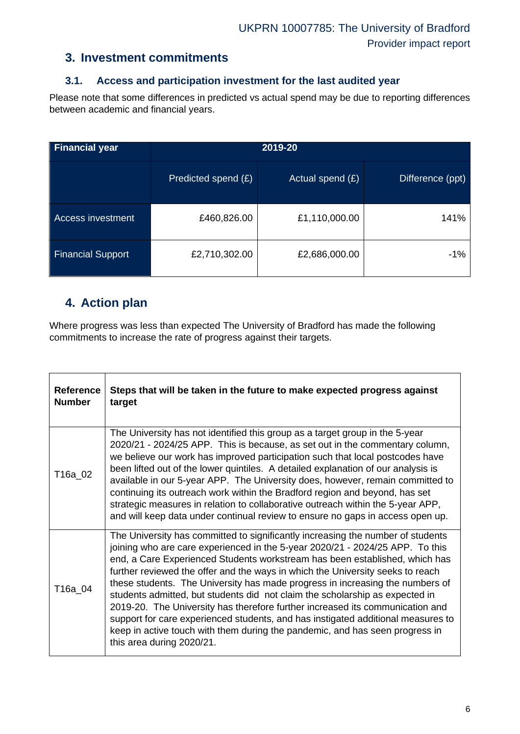### **3. Investment commitments**

### **3.1. Access and participation investment for the last audited year**

Please note that some differences in predicted vs actual spend may be due to reporting differences between academic and financial years.

| <b>Financial year</b>    | 2019-20             |                    |                  |  |  |  |
|--------------------------|---------------------|--------------------|------------------|--|--|--|
|                          | Predicted spend (£) | Actual spend $(E)$ | Difference (ppt) |  |  |  |
| Access investment        | £460,826.00         | £1,110,000.00      | 141%             |  |  |  |
| <b>Financial Support</b> | £2,710,302.00       | £2,686,000.00      | -1%              |  |  |  |

## **4. Action plan**

Where progress was less than expected The University of Bradford has made the following commitments to increase the rate of progress against their targets.

| <b>Reference</b><br><b>Number</b> | Steps that will be taken in the future to make expected progress against<br>target                                                                                                                                                                                                                                                                                                                                                                                                                                                                                                                                                                                                                                                                                                   |
|-----------------------------------|--------------------------------------------------------------------------------------------------------------------------------------------------------------------------------------------------------------------------------------------------------------------------------------------------------------------------------------------------------------------------------------------------------------------------------------------------------------------------------------------------------------------------------------------------------------------------------------------------------------------------------------------------------------------------------------------------------------------------------------------------------------------------------------|
| T16a_02                           | The University has not identified this group as a target group in the 5-year<br>2020/21 - 2024/25 APP. This is because, as set out in the commentary column,<br>we believe our work has improved participation such that local postcodes have<br>been lifted out of the lower quintiles. A detailed explanation of our analysis is<br>available in our 5-year APP. The University does, however, remain committed to<br>continuing its outreach work within the Bradford region and beyond, has set<br>strategic measures in relation to collaborative outreach within the 5-year APP,<br>and will keep data under continual review to ensure no gaps in access open up.                                                                                                             |
| T16a 04                           | The University has committed to significantly increasing the number of students<br>joining who are care experienced in the 5-year 2020/21 - 2024/25 APP. To this<br>end, a Care Experienced Students workstream has been established, which has<br>further reviewed the offer and the ways in which the University seeks to reach<br>these students. The University has made progress in increasing the numbers of<br>students admitted, but students did not claim the scholarship as expected in<br>2019-20. The University has therefore further increased its communication and<br>support for care experienced students, and has instigated additional measures to<br>keep in active touch with them during the pandemic, and has seen progress in<br>this area during 2020/21. |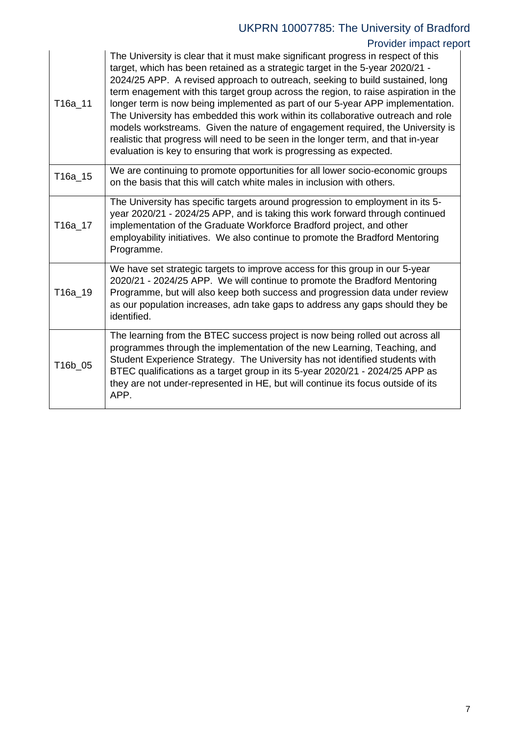# UKPRN 10007785: The University of Bradford

# Provider impact report

| T16a_11 | The University is clear that it must make significant progress in respect of this<br>target, which has been retained as a strategic target in the 5-year 2020/21 -<br>2024/25 APP. A revised approach to outreach, seeking to build sustained, long<br>term enagement with this target group across the region, to raise aspiration in the<br>longer term is now being implemented as part of our 5-year APP implementation.<br>The University has embedded this work within its collaborative outreach and role<br>models workstreams. Given the nature of engagement required, the University is<br>realistic that progress will need to be seen in the longer term, and that in-year<br>evaluation is key to ensuring that work is progressing as expected. |
|---------|----------------------------------------------------------------------------------------------------------------------------------------------------------------------------------------------------------------------------------------------------------------------------------------------------------------------------------------------------------------------------------------------------------------------------------------------------------------------------------------------------------------------------------------------------------------------------------------------------------------------------------------------------------------------------------------------------------------------------------------------------------------|
| T16a_15 | We are continuing to promote opportunities for all lower socio-economic groups<br>on the basis that this will catch white males in inclusion with others.                                                                                                                                                                                                                                                                                                                                                                                                                                                                                                                                                                                                      |
| T16a_17 | The University has specific targets around progression to employment in its 5-<br>year 2020/21 - 2024/25 APP, and is taking this work forward through continued<br>implementation of the Graduate Workforce Bradford project, and other<br>employability initiatives. We also continue to promote the Bradford Mentoring<br>Programme.                                                                                                                                                                                                                                                                                                                                                                                                                         |
| T16a 19 | We have set strategic targets to improve access for this group in our 5-year<br>2020/21 - 2024/25 APP. We will continue to promote the Bradford Mentoring<br>Programme, but will also keep both success and progression data under review<br>as our population increases, adn take gaps to address any gaps should they be<br>identified.                                                                                                                                                                                                                                                                                                                                                                                                                      |
| T16b 05 | The learning from the BTEC success project is now being rolled out across all<br>programmes through the implementation of the new Learning, Teaching, and<br>Student Experience Strategy. The University has not identified students with<br>BTEC qualifications as a target group in its 5-year 2020/21 - 2024/25 APP as<br>they are not under-represented in HE, but will continue its focus outside of its<br>APP.                                                                                                                                                                                                                                                                                                                                          |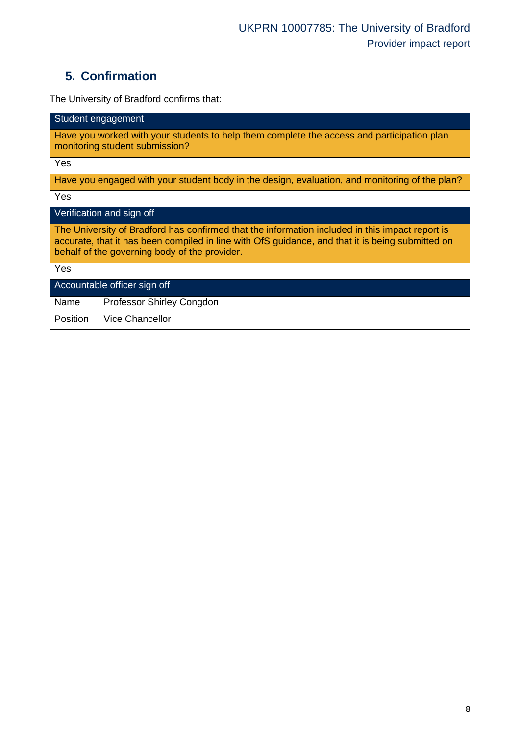# **5. Confirmation**

The University of Bradford confirms that:

| Student engagement                                                                                                                                                                                                                                   |  |  |  |
|------------------------------------------------------------------------------------------------------------------------------------------------------------------------------------------------------------------------------------------------------|--|--|--|
| Have you worked with your students to help them complete the access and participation plan<br>monitoring student submission?                                                                                                                         |  |  |  |
| Yes                                                                                                                                                                                                                                                  |  |  |  |
| Have you engaged with your student body in the design, evaluation, and monitoring of the plan?                                                                                                                                                       |  |  |  |
| Yes                                                                                                                                                                                                                                                  |  |  |  |
| Verification and sign off                                                                                                                                                                                                                            |  |  |  |
| The University of Bradford has confirmed that the information included in this impact report is<br>accurate, that it has been compiled in line with OfS guidance, and that it is being submitted on<br>behalf of the governing body of the provider. |  |  |  |
| Yes                                                                                                                                                                                                                                                  |  |  |  |
| Accountable officer sign off                                                                                                                                                                                                                         |  |  |  |
| Name<br>Professor Shirley Congdon                                                                                                                                                                                                                    |  |  |  |
| <b>Vice Chancellor</b><br><b>Position</b>                                                                                                                                                                                                            |  |  |  |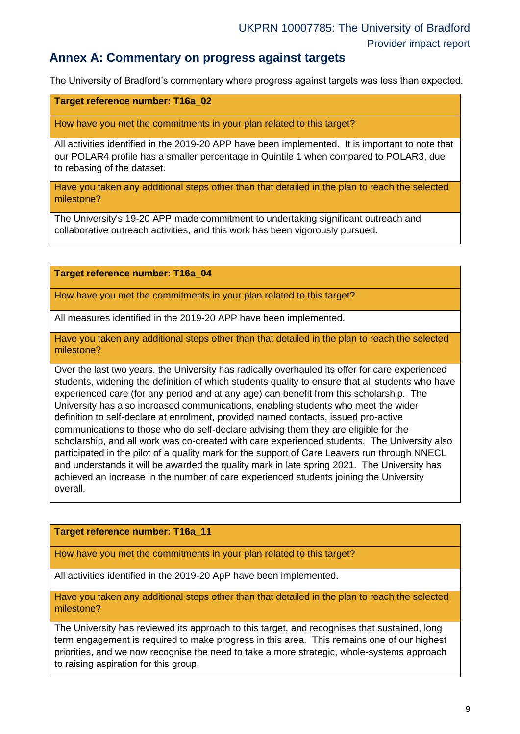### **Annex A: Commentary on progress against targets**

The University of Bradford's commentary where progress against targets was less than expected.

#### **Target reference number: T16a\_02**

How have you met the commitments in your plan related to this target?

All activities identified in the 2019-20 APP have been implemented. It is important to note that our POLAR4 profile has a smaller percentage in Quintile 1 when compared to POLAR3, due to rebasing of the dataset.

Have you taken any additional steps other than that detailed in the plan to reach the selected milestone?

The University's 19-20 APP made commitment to undertaking significant outreach and collaborative outreach activities, and this work has been vigorously pursued.

**Target reference number: T16a\_04**

How have you met the commitments in your plan related to this target?

All measures identified in the 2019-20 APP have been implemented.

Have you taken any additional steps other than that detailed in the plan to reach the selected milestone?

Over the last two years, the University has radically overhauled its offer for care experienced students, widening the definition of which students quality to ensure that all students who have experienced care (for any period and at any age) can benefit from this scholarship. The University has also increased communications, enabling students who meet the wider definition to self-declare at enrolment, provided named contacts, issued pro-active communications to those who do self-declare advising them they are eligible for the scholarship, and all work was co-created with care experienced students. The University also participated in the pilot of a quality mark for the support of Care Leavers run through NNECL and understands it will be awarded the quality mark in late spring 2021. The University has achieved an increase in the number of care experienced students joining the University overall.

#### **Target reference number: T16a\_11**

How have you met the commitments in your plan related to this target?

All activities identified in the 2019-20 ApP have been implemented.

Have you taken any additional steps other than that detailed in the plan to reach the selected milestone?

The University has reviewed its approach to this target, and recognises that sustained, long term engagement is required to make progress in this area. This remains one of our highest priorities, and we now recognise the need to take a more strategic, whole-systems approach to raising aspiration for this group.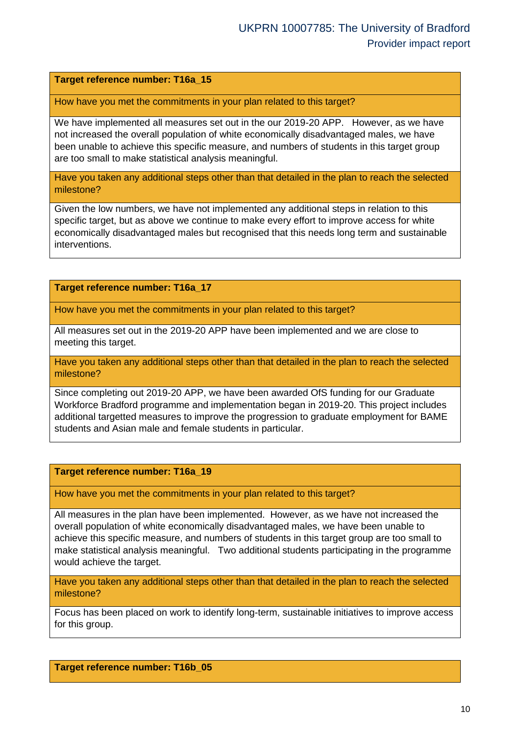#### **Target reference number: T16a\_15**

How have you met the commitments in your plan related to this target?

We have implemented all measures set out in the our 2019-20 APP. However, as we have not increased the overall population of white economically disadvantaged males, we have been unable to achieve this specific measure, and numbers of students in this target group are too small to make statistical analysis meaningful.

Have you taken any additional steps other than that detailed in the plan to reach the selected milestone?

Given the low numbers, we have not implemented any additional steps in relation to this specific target, but as above we continue to make every effort to improve access for white economically disadvantaged males but recognised that this needs long term and sustainable interventions.

#### **Target reference number: T16a\_17**

How have you met the commitments in your plan related to this target?

All measures set out in the 2019-20 APP have been implemented and we are close to meeting this target.

Have you taken any additional steps other than that detailed in the plan to reach the selected milestone?

Since completing out 2019-20 APP, we have been awarded OfS funding for our Graduate Workforce Bradford programme and implementation began in 2019-20. This project includes additional targetted measures to improve the progression to graduate employment for BAME students and Asian male and female students in particular.

#### **Target reference number: T16a\_19**

How have you met the commitments in your plan related to this target?

All measures in the plan have been implemented. However, as we have not increased the overall population of white economically disadvantaged males, we have been unable to achieve this specific measure, and numbers of students in this target group are too small to make statistical analysis meaningful. Two additional students participating in the programme would achieve the target.

Have you taken any additional steps other than that detailed in the plan to reach the selected milestone?

Focus has been placed on work to identify long-term, sustainable initiatives to improve access for this group.

#### **Target reference number: T16b\_05**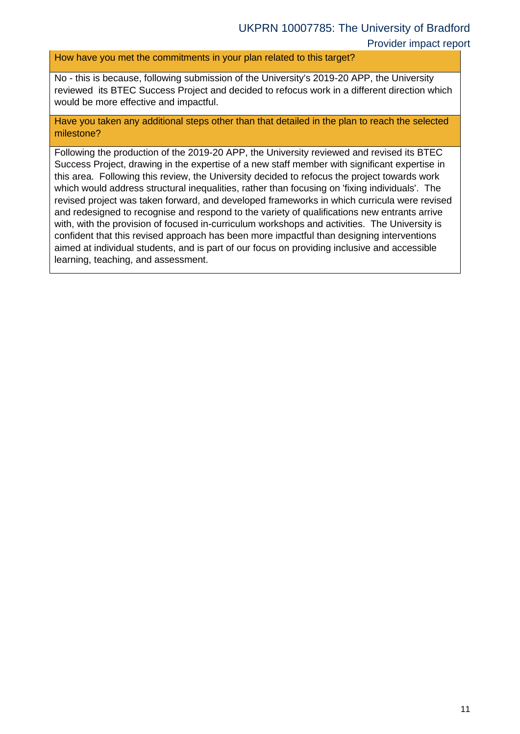How have you met the commitments in your plan related to this target?

No - this is because, following submission of the University's 2019-20 APP, the University reviewed its BTEC Success Project and decided to refocus work in a different direction which would be more effective and impactful.

Have you taken any additional steps other than that detailed in the plan to reach the selected milestone?

Following the production of the 2019-20 APP, the University reviewed and revised its BTEC Success Project, drawing in the expertise of a new staff member with significant expertise in this area. Following this review, the University decided to refocus the project towards work which would address structural inequalities, rather than focusing on 'fixing individuals'. The revised project was taken forward, and developed frameworks in which curricula were revised and redesigned to recognise and respond to the variety of qualifications new entrants arrive with, with the provision of focused in-curriculum workshops and activities. The University is confident that this revised approach has been more impactful than designing interventions aimed at individual students, and is part of our focus on providing inclusive and accessible learning, teaching, and assessment.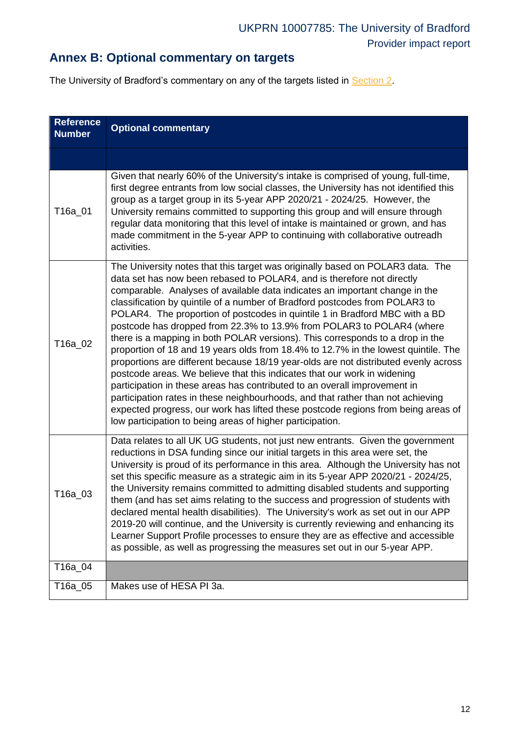## **Annex B: Optional commentary on targets**

<span id="page-11-0"></span>The University of Bradford's commentary on any of the targets listed in **Section 2**.

| <b>Reference</b><br><b>Number</b> | <b>Optional commentary</b>                                                                                                                                                                                                                                                                                                                                                                                                                                                                                                                                                                                                                                                                                                                                                                                                                                                                                                                                                                                                                                                                                                                 |
|-----------------------------------|--------------------------------------------------------------------------------------------------------------------------------------------------------------------------------------------------------------------------------------------------------------------------------------------------------------------------------------------------------------------------------------------------------------------------------------------------------------------------------------------------------------------------------------------------------------------------------------------------------------------------------------------------------------------------------------------------------------------------------------------------------------------------------------------------------------------------------------------------------------------------------------------------------------------------------------------------------------------------------------------------------------------------------------------------------------------------------------------------------------------------------------------|
|                                   |                                                                                                                                                                                                                                                                                                                                                                                                                                                                                                                                                                                                                                                                                                                                                                                                                                                                                                                                                                                                                                                                                                                                            |
| T16a 01                           | Given that nearly 60% of the University's intake is comprised of young, full-time,<br>first degree entrants from low social classes, the University has not identified this<br>group as a target group in its 5-year APP 2020/21 - 2024/25. However, the<br>University remains committed to supporting this group and will ensure through<br>regular data monitoring that this level of intake is maintained or grown, and has<br>made commitment in the 5-year APP to continuing with collaborative outreadh<br>activities.                                                                                                                                                                                                                                                                                                                                                                                                                                                                                                                                                                                                               |
| T16a_02                           | The University notes that this target was originally based on POLAR3 data. The<br>data set has now been rebased to POLAR4, and is therefore not directly<br>comparable. Analyses of available data indicates an important change in the<br>classification by quintile of a number of Bradford postcodes from POLAR3 to<br>POLAR4. The proportion of postcodes in quintile 1 in Bradford MBC with a BD<br>postcode has dropped from 22.3% to 13.9% from POLAR3 to POLAR4 (where<br>there is a mapping in both POLAR versions). This corresponds to a drop in the<br>proportion of 18 and 19 years olds from 18.4% to 12.7% in the lowest quintile. The<br>proportions are different because 18/19 year-olds are not distributed evenly across<br>postcode areas. We believe that this indicates that our work in widening<br>participation in these areas has contributed to an overall improvement in<br>participation rates in these neighbourhoods, and that rather than not achieving<br>expected progress, our work has lifted these postcode regions from being areas of<br>low participation to being areas of higher participation. |
| T16a_03                           | Data relates to all UK UG students, not just new entrants. Given the government<br>reductions in DSA funding since our initial targets in this area were set, the<br>University is proud of its performance in this area. Although the University has not<br>set this specific measure as a strategic aim in its 5-year APP 2020/21 - 2024/25,<br>the University remains committed to admitting disabled students and supporting<br>them (and has set aims relating to the success and progression of students with<br>declared mental health disabilities). The University's work as set out in our APP<br>2019-20 will continue, and the University is currently reviewing and enhancing its<br>Learner Support Profile processes to ensure they are as effective and accessible<br>as possible, as well as progressing the measures set out in our 5-year APP.                                                                                                                                                                                                                                                                          |
| T16a_04                           |                                                                                                                                                                                                                                                                                                                                                                                                                                                                                                                                                                                                                                                                                                                                                                                                                                                                                                                                                                                                                                                                                                                                            |
| T16a_05                           | Makes use of HESA PI 3a.                                                                                                                                                                                                                                                                                                                                                                                                                                                                                                                                                                                                                                                                                                                                                                                                                                                                                                                                                                                                                                                                                                                   |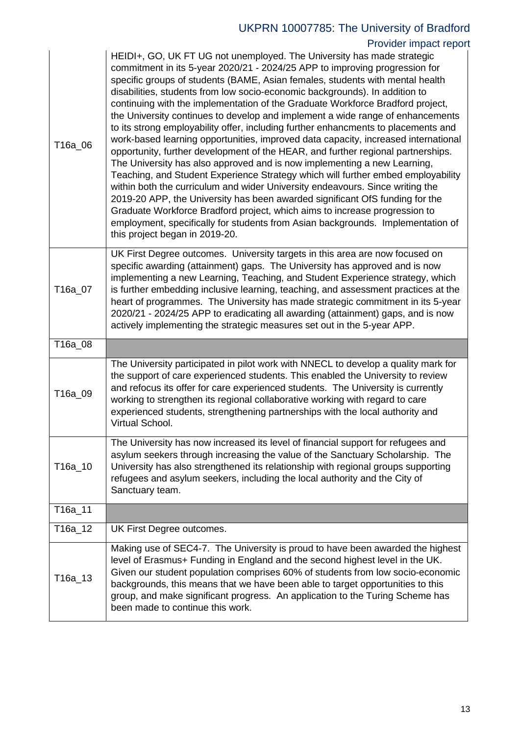# UKPRN 10007785: The University of Bradford

## Provider impact report

| T16a_06 | HEIDI+, GO, UK FT UG not unemployed. The University has made strategic<br>commitment in its 5-year 2020/21 - 2024/25 APP to improving progression for<br>specific groups of students (BAME, Asian females, students with mental health<br>disabilities, students from low socio-economic backgrounds). In addition to<br>continuing with the implementation of the Graduate Workforce Bradford project,<br>the University continues to develop and implement a wide range of enhancements<br>to its strong employability offer, including further enhancments to placements and<br>work-based learning opportunities, improved data capacity, increased international<br>opportunity, further development of the HEAR, and further regional partnerships.<br>The University has also approved and is now implementing a new Learning,<br>Teaching, and Student Experience Strategy which will further embed employability<br>within both the curriculum and wider University endeavours. Since writing the<br>2019-20 APP, the University has been awarded significant OfS funding for the<br>Graduate Workforce Bradford project, which aims to increase progression to<br>employment, specifically for students from Asian backgrounds. Implementation of<br>this project began in 2019-20. |
|---------|-----------------------------------------------------------------------------------------------------------------------------------------------------------------------------------------------------------------------------------------------------------------------------------------------------------------------------------------------------------------------------------------------------------------------------------------------------------------------------------------------------------------------------------------------------------------------------------------------------------------------------------------------------------------------------------------------------------------------------------------------------------------------------------------------------------------------------------------------------------------------------------------------------------------------------------------------------------------------------------------------------------------------------------------------------------------------------------------------------------------------------------------------------------------------------------------------------------------------------------------------------------------------------------------------|
| T16a_07 | UK First Degree outcomes. University targets in this area are now focused on<br>specific awarding (attainment) gaps. The University has approved and is now<br>implementing a new Learning, Teaching, and Student Experience strategy, which<br>is further embedding inclusive learning, teaching, and assessment practices at the<br>heart of programmes. The University has made strategic commitment in its 5-year<br>2020/21 - 2024/25 APP to eradicating all awarding (attainment) gaps, and is now<br>actively implementing the strategic measures set out in the 5-year APP.                                                                                                                                                                                                                                                                                                                                                                                                                                                                                                                                                                                                                                                                                                           |
| T16a_08 |                                                                                                                                                                                                                                                                                                                                                                                                                                                                                                                                                                                                                                                                                                                                                                                                                                                                                                                                                                                                                                                                                                                                                                                                                                                                                               |
|         |                                                                                                                                                                                                                                                                                                                                                                                                                                                                                                                                                                                                                                                                                                                                                                                                                                                                                                                                                                                                                                                                                                                                                                                                                                                                                               |
| T16a_09 | The University participated in pilot work with NNECL to develop a quality mark for<br>the support of care experienced students. This enabled the University to review<br>and refocus its offer for care experienced students. The University is currently<br>working to strengthen its regional collaborative working with regard to care<br>experienced students, strengthening partnerships with the local authority and<br>Virtual School.                                                                                                                                                                                                                                                                                                                                                                                                                                                                                                                                                                                                                                                                                                                                                                                                                                                 |
| T16a_10 | The University has now increased its level of financial support for refugees and<br>asylum seekers through increasing the value of the Sanctuary Scholarship. The<br>University has also strengthened its relationship with regional groups supporting<br>refugees and asylum seekers, including the local authority and the City of<br>Sanctuary team.                                                                                                                                                                                                                                                                                                                                                                                                                                                                                                                                                                                                                                                                                                                                                                                                                                                                                                                                       |
| T16a_11 |                                                                                                                                                                                                                                                                                                                                                                                                                                                                                                                                                                                                                                                                                                                                                                                                                                                                                                                                                                                                                                                                                                                                                                                                                                                                                               |
| T16a_12 | UK First Degree outcomes.                                                                                                                                                                                                                                                                                                                                                                                                                                                                                                                                                                                                                                                                                                                                                                                                                                                                                                                                                                                                                                                                                                                                                                                                                                                                     |